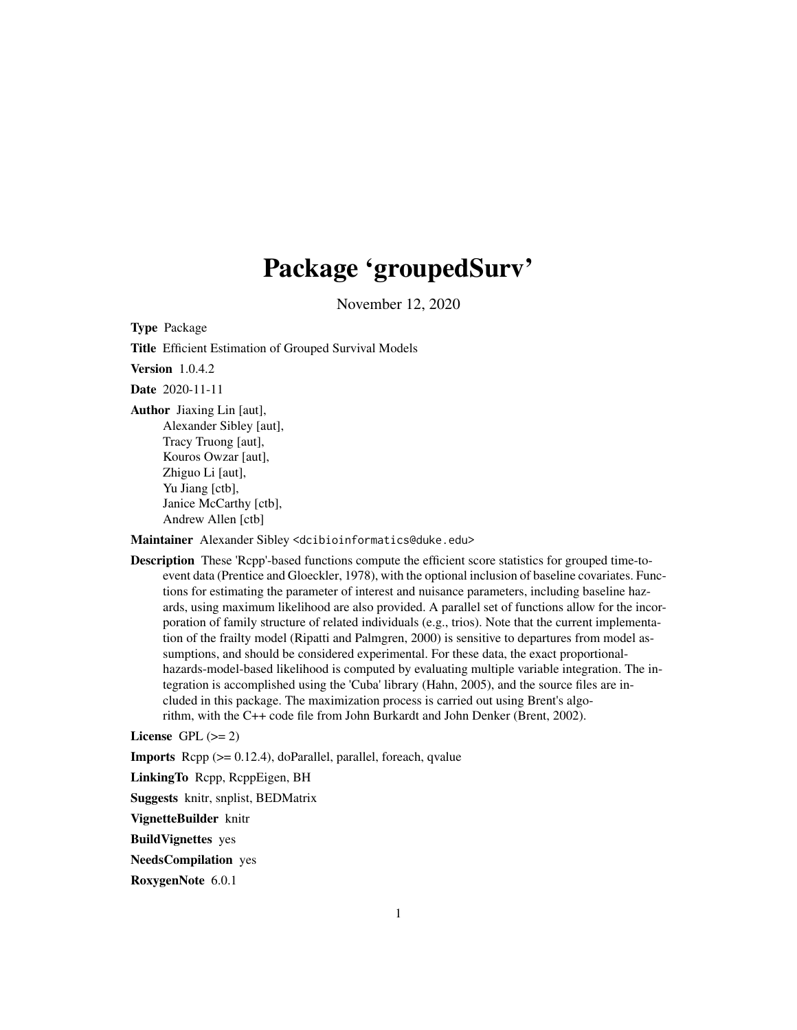## Package 'groupedSurv'

November 12, 2020

Type Package Title Efficient Estimation of Grouped Survival Models Version 1.0.4.2 Date 2020-11-11 Author Jiaxing Lin [aut], Alexander Sibley [aut], Tracy Truong [aut], Kouros Owzar [aut], Zhiguo Li [aut], Yu Jiang [ctb], Janice McCarthy [ctb],

Andrew Allen [ctb]

Maintainer Alexander Sibley <dcibioinformatics@duke.edu>

Description These 'Rcpp'-based functions compute the efficient score statistics for grouped time-toevent data (Prentice and Gloeckler, 1978), with the optional inclusion of baseline covariates. Functions for estimating the parameter of interest and nuisance parameters, including baseline hazards, using maximum likelihood are also provided. A parallel set of functions allow for the incorporation of family structure of related individuals (e.g., trios). Note that the current implementation of the frailty model (Ripatti and Palmgren, 2000) is sensitive to departures from model assumptions, and should be considered experimental. For these data, the exact proportionalhazards-model-based likelihood is computed by evaluating multiple variable integration. The integration is accomplished using the 'Cuba' library (Hahn, 2005), and the source files are included in this package. The maximization process is carried out using Brent's algorithm, with the C++ code file from John Burkardt and John Denker (Brent, 2002).

License GPL  $(>= 2)$ 

**Imports** Rcpp  $(>= 0.12.4)$ , doParallel, parallel, foreach, qvalue

LinkingTo Rcpp, RcppEigen, BH

Suggests knitr, snplist, BEDMatrix

VignetteBuilder knitr

BuildVignettes yes

NeedsCompilation yes

RoxygenNote 6.0.1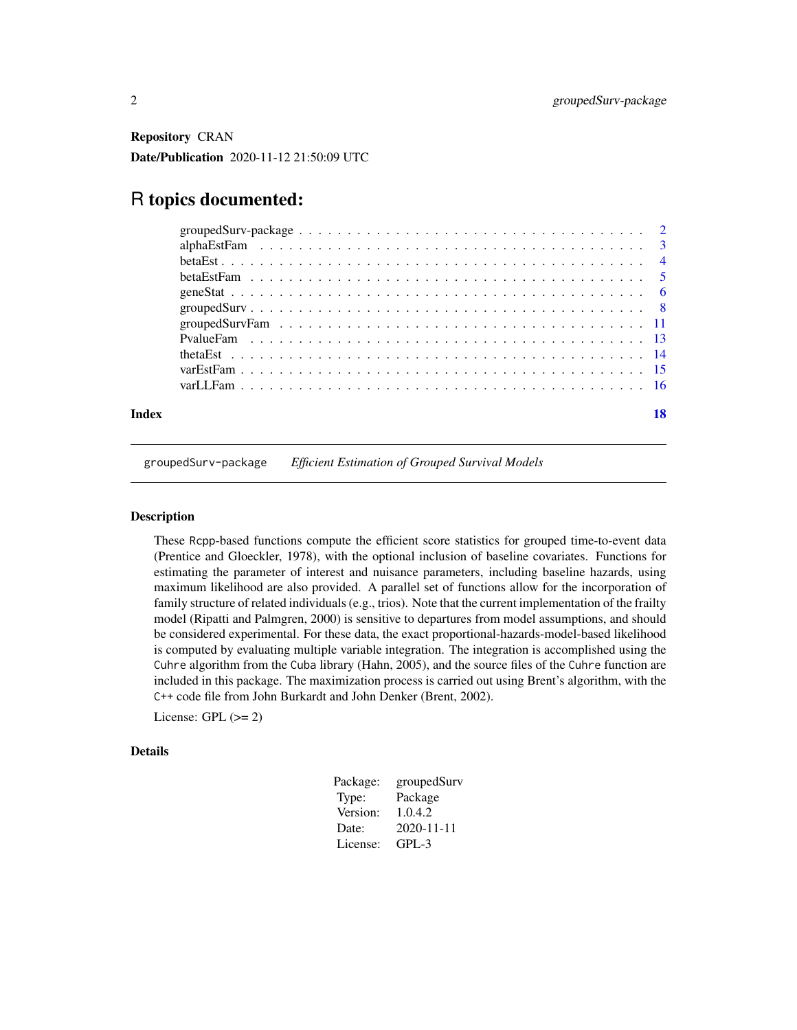<span id="page-1-0"></span>Repository CRAN Date/Publication 2020-11-12 21:50:09 UTC

## R topics documented:

| Index |  |
|-------|--|

groupedSurv-package *Efficient Estimation of Grouped Survival Models*

#### Description

These Rcpp-based functions compute the efficient score statistics for grouped time-to-event data (Prentice and Gloeckler, 1978), with the optional inclusion of baseline covariates. Functions for estimating the parameter of interest and nuisance parameters, including baseline hazards, using maximum likelihood are also provided. A parallel set of functions allow for the incorporation of family structure of related individuals (e.g., trios). Note that the current implementation of the frailty model (Ripatti and Palmgren, 2000) is sensitive to departures from model assumptions, and should be considered experimental. For these data, the exact proportional-hazards-model-based likelihood is computed by evaluating multiple variable integration. The integration is accomplished using the Cuhre algorithm from the Cuba library (Hahn, 2005), and the source files of the Cuhre function are included in this package. The maximization process is carried out using Brent's algorithm, with the C++ code file from John Burkardt and John Denker (Brent, 2002).

License: GPL  $(>= 2)$ 

#### Details

| Package: | groupedSurv      |
|----------|------------------|
| Type:    | Package          |
| Version: | 1.0.4.2          |
| Date:    | $2020 - 11 - 11$ |
| License: | $GPI - 3$        |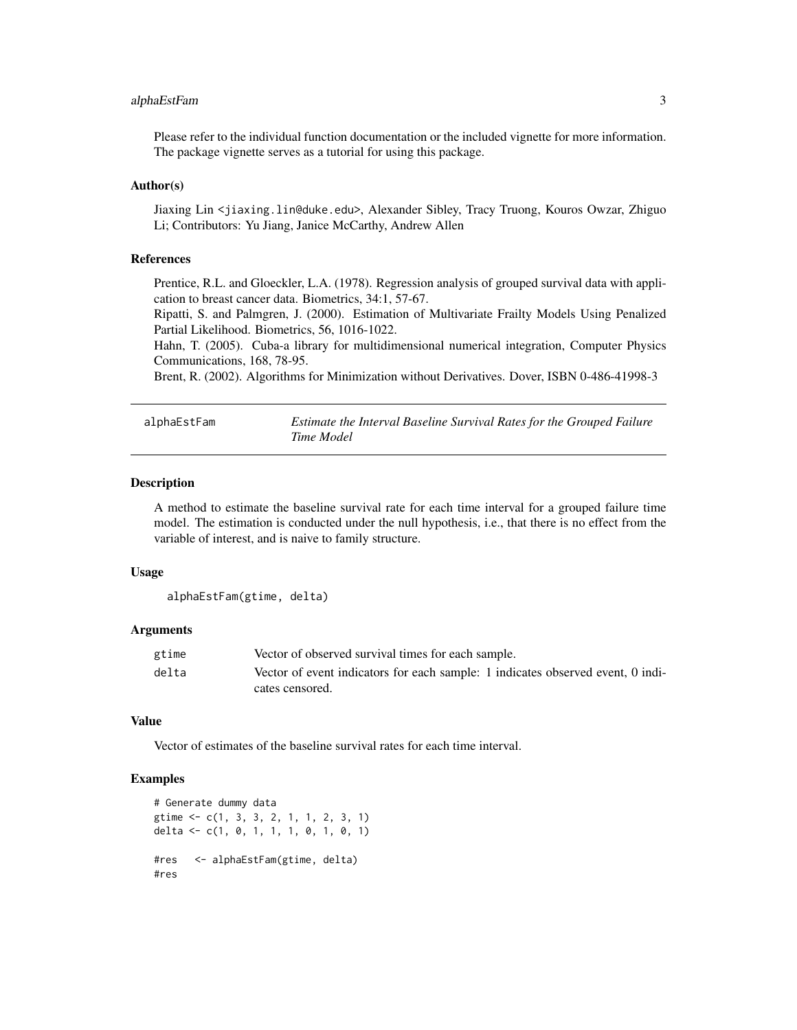#### <span id="page-2-0"></span>alphaEstFam 3

Please refer to the individual function documentation or the included vignette for more information. The package vignette serves as a tutorial for using this package.

#### Author(s)

Jiaxing Lin <jiaxing.lin@duke.edu>, Alexander Sibley, Tracy Truong, Kouros Owzar, Zhiguo Li; Contributors: Yu Jiang, Janice McCarthy, Andrew Allen

#### References

Prentice, R.L. and Gloeckler, L.A. (1978). Regression analysis of grouped survival data with application to breast cancer data. Biometrics, 34:1, 57-67.

Ripatti, S. and Palmgren, J. (2000). Estimation of Multivariate Frailty Models Using Penalized Partial Likelihood. Biometrics, 56, 1016-1022.

Hahn, T. (2005). Cuba-a library for multidimensional numerical integration, Computer Physics Communications, 168, 78-95.

Brent, R. (2002). Algorithms for Minimization without Derivatives. Dover, ISBN 0-486-41998-3

| alphaEstFam | Estimate the Interval Baseline Survival Rates for the Grouped Failure |
|-------------|-----------------------------------------------------------------------|
|             | Time Model                                                            |

#### **Description**

A method to estimate the baseline survival rate for each time interval for a grouped failure time model. The estimation is conducted under the null hypothesis, i.e., that there is no effect from the variable of interest, and is naive to family structure.

#### Usage

alphaEstFam(gtime, delta)

#### Arguments

| gtime | Vector of observed survival times for each sample.                              |
|-------|---------------------------------------------------------------------------------|
| delta | Vector of event indicators for each sample: 1 indicates observed event, 0 indi- |
|       | cates censored.                                                                 |

#### Value

Vector of estimates of the baseline survival rates for each time interval.

```
# Generate dummy data
gtime <- c(1, 3, 3, 2, 1, 1, 2, 3, 1)
delta <- c(1, 0, 1, 1, 1, 0, 1, 0, 1)
#res <- alphaEstFam(gtime, delta)
#res
```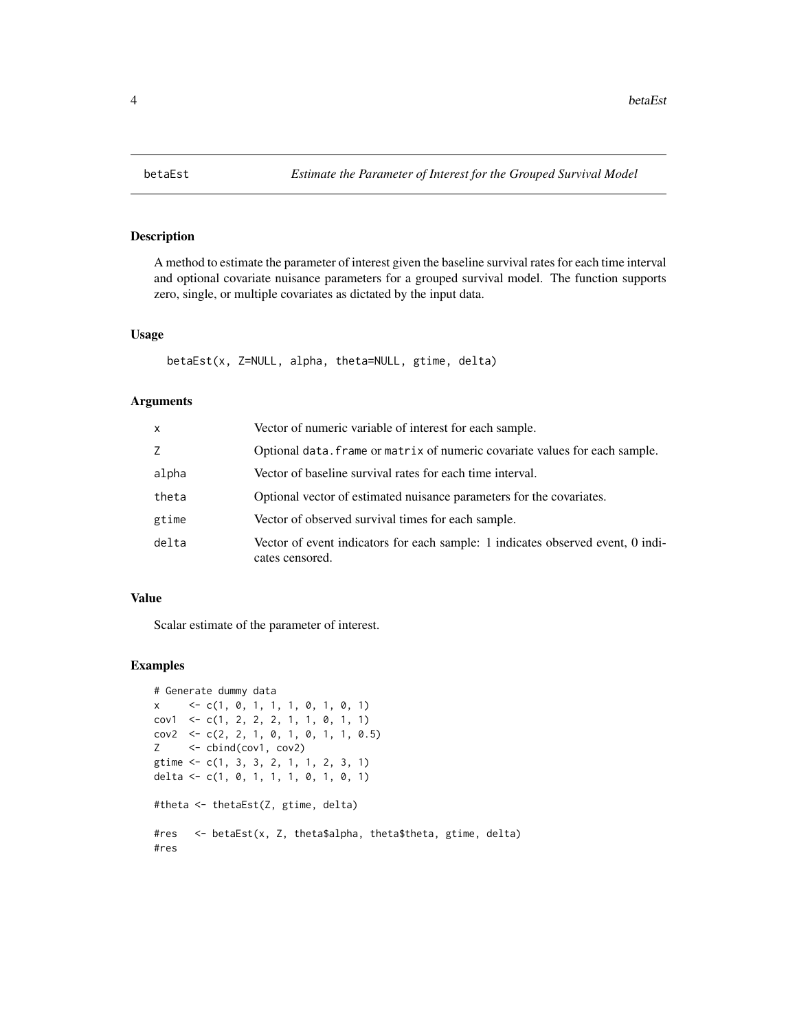<span id="page-3-0"></span>

#### Description

A method to estimate the parameter of interest given the baseline survival rates for each time interval and optional covariate nuisance parameters for a grouped survival model. The function supports zero, single, or multiple covariates as dictated by the input data.

#### Usage

```
betaEst(x, Z=NULL, alpha, theta=NULL, gtime, delta)
```
#### Arguments

| x     | Vector of numeric variable of interest for each sample.                                            |
|-------|----------------------------------------------------------------------------------------------------|
| Z.    | Optional data. frame or matrix of numeric covariate values for each sample.                        |
| alpha | Vector of baseline survival rates for each time interval.                                          |
| theta | Optional vector of estimated nuisance parameters for the covariates.                               |
| gtime | Vector of observed survival times for each sample.                                                 |
| delta | Vector of event indicators for each sample: 1 indicates observed event, 0 indi-<br>cates censored. |

#### Value

Scalar estimate of the parameter of interest.

```
# Generate dummy data
x <- c(1, 0, 1, 1, 1, 0, 1, 0, 1)
cov1 \leq -c(1, 2, 2, 2, 1, 1, 0, 1, 1)cov2 \leq -c(2, 2, 1, 0, 1, 0, 1, 1, 0.5)Z <- cbind(cov1, cov2)
gtime <- c(1, 3, 3, 2, 1, 1, 2, 3, 1)
delta <- c(1, 0, 1, 1, 1, 0, 1, 0, 1)
#theta <- thetaEst(Z, gtime, delta)
#res <- betaEst(x, Z, theta$alpha, theta$theta, gtime, delta)
#res
```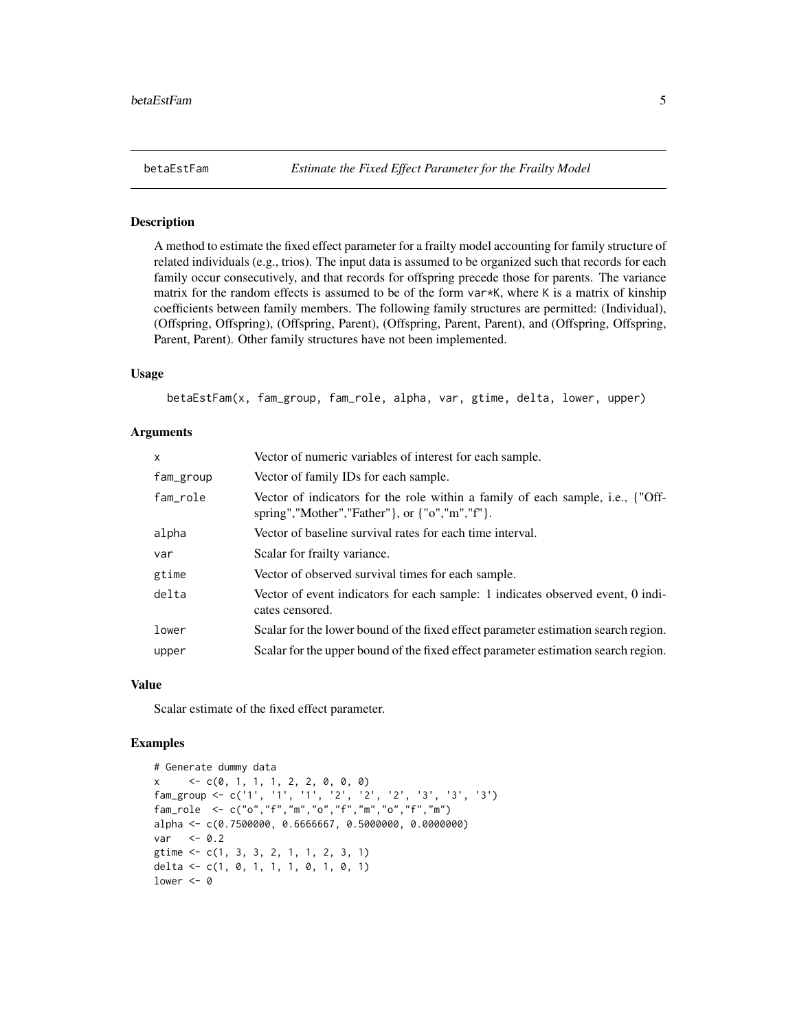#### Description

A method to estimate the fixed effect parameter for a frailty model accounting for family structure of related individuals (e.g., trios). The input data is assumed to be organized such that records for each family occur consecutively, and that records for offspring precede those for parents. The variance matrix for the random effects is assumed to be of the form  $var*K$ , where K is a matrix of kinship coefficients between family members. The following family structures are permitted: (Individual), (Offspring, Offspring), (Offspring, Parent), (Offspring, Parent, Parent), and (Offspring, Offspring, Parent, Parent). Other family structures have not been implemented.

#### Usage

betaEstFam(x, fam\_group, fam\_role, alpha, var, gtime, delta, lower, upper)

#### Arguments

| x         | Vector of numeric variables of interest for each sample.                                                                                |
|-----------|-----------------------------------------------------------------------------------------------------------------------------------------|
| fam_group | Vector of family IDs for each sample.                                                                                                   |
| fam_role  | Vector of indicators for the role within a family of each sample, i.e., {"Off-<br>spring","Mother","Father" }, or $\{$ "o", "m", "f" }. |
| alpha     | Vector of baseline survival rates for each time interval.                                                                               |
| var       | Scalar for frailty variance.                                                                                                            |
| gtime     | Vector of observed survival times for each sample.                                                                                      |
| delta     | Vector of event indicators for each sample: 1 indicates observed event, 0 indi-<br>cates censored.                                      |
| lower     | Scalar for the lower bound of the fixed effect parameter estimation search region.                                                      |
| upper     | Scalar for the upper bound of the fixed effect parameter estimation search region.                                                      |

#### Value

Scalar estimate of the fixed effect parameter.

```
# Generate dummy data
x \leftarrow c(0, 1, 1, 1, 2, 2, 0, 0, 0)fam_group <- c('1', '1', '1', '2', '2', '2', '3', '3', '3')
fam_role <- c("o","f","m","o","f","m","o","f","m")
alpha <- c(0.7500000, 0.6666667, 0.5000000, 0.0000000)
var < -0.2gtime <- c(1, 3, 3, 2, 1, 1, 2, 3, 1)
delta <- c(1, 0, 1, 1, 1, 0, 1, 0, 1)
lower <-0
```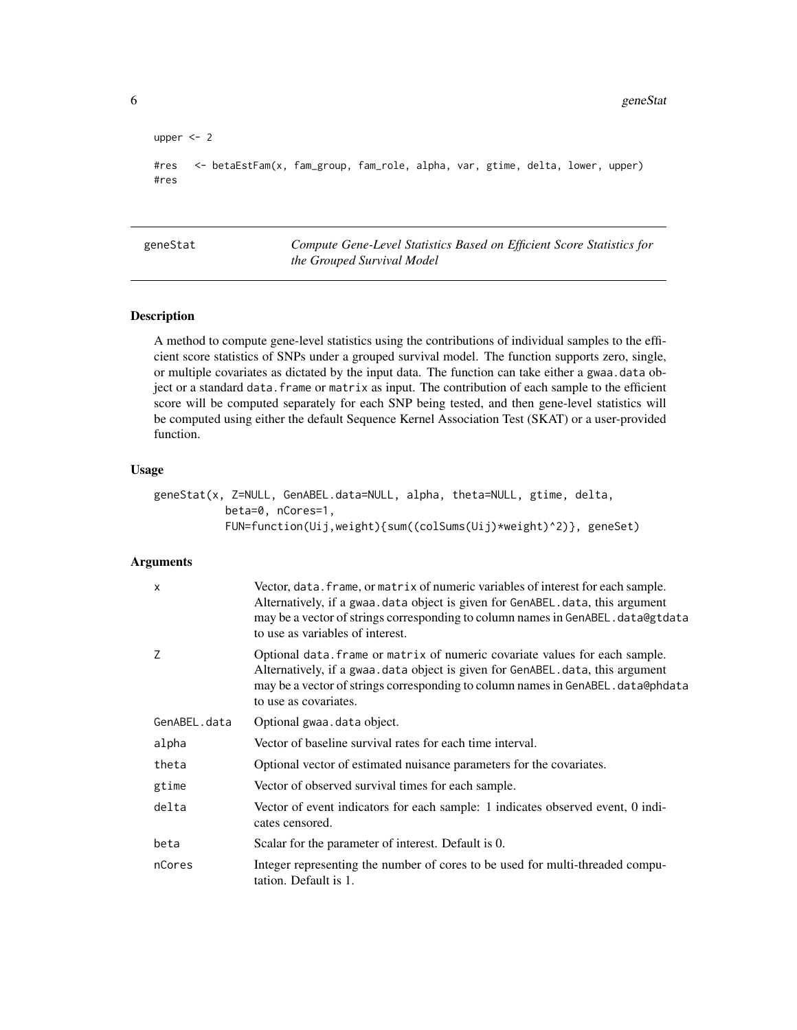```
upper <- 2
#res <- betaEstFam(x, fam_group, fam_role, alpha, var, gtime, delta, lower, upper)
#res
```
geneStat *Compute Gene-Level Statistics Based on Efficient Score Statistics for the Grouped Survival Model*

#### Description

A method to compute gene-level statistics using the contributions of individual samples to the efficient score statistics of SNPs under a grouped survival model. The function supports zero, single, or multiple covariates as dictated by the input data. The function can take either a gwaa.data object or a standard data. frame or matrix as input. The contribution of each sample to the efficient score will be computed separately for each SNP being tested, and then gene-level statistics will be computed using either the default Sequence Kernel Association Test (SKAT) or a user-provided function.

#### Usage

```
geneStat(x, Z=NULL, GenABEL.data=NULL, alpha, theta=NULL, gtime, delta,
          beta=0, nCores=1,
          FUN=function(Uij,weight){sum((colSums(Uij)*weight)^2)}, geneSet)
```
#### **Arguments**

| $\mathsf{x}$ | Vector, data. frame, or matrix of numeric variables of interest for each sample.<br>Alternatively, if a gwaa data object is given for GenABEL.data, this argument<br>may be a vector of strings corresponding to column names in GenABEL.data@gtdata<br>to use as variables of interest. |
|--------------|------------------------------------------------------------------------------------------------------------------------------------------------------------------------------------------------------------------------------------------------------------------------------------------|
| Z            | Optional data. frame or matrix of numeric covariate values for each sample.<br>Alternatively, if a gwaa. data object is given for GenABEL. data, this argument<br>may be a vector of strings corresponding to column names in GenABEL.data@phdata<br>to use as covariates.               |
| GenABEL.data | Optional gwaa. data object.                                                                                                                                                                                                                                                              |
| alpha        | Vector of baseline survival rates for each time interval.                                                                                                                                                                                                                                |
| theta        | Optional vector of estimated nuisance parameters for the covariates.                                                                                                                                                                                                                     |
| gtime        | Vector of observed survival times for each sample.                                                                                                                                                                                                                                       |
| delta        | Vector of event indicators for each sample: 1 indicates observed event, 0 indi-<br>cates censored.                                                                                                                                                                                       |
| beta         | Scalar for the parameter of interest. Default is 0.                                                                                                                                                                                                                                      |
| nCores       | Integer representing the number of cores to be used for multi-threaded compu-<br>tation. Default is 1.                                                                                                                                                                                   |

<span id="page-5-0"></span>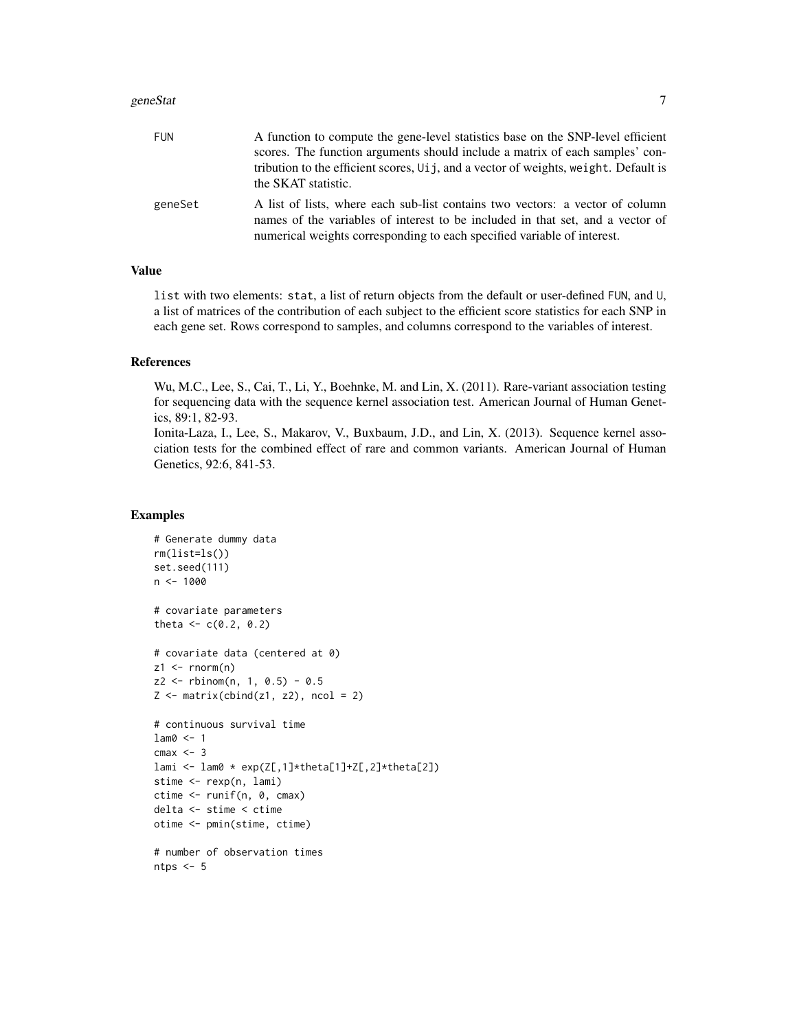#### geneStat 7 and 7 and 7 and 7 and 7 and 7 and 7 and 7 and 7 and 7 and 7 and 7 and 7 and 7 and 7 and 7 and 7 and 7 and 7 and 7 and 7 and 7 and 7 and 7 and 7 and 7 and 7 and 7 and 7 and 7 and 7 and 7 and 7 and 7 and 7 and 7 a

| FUN     | A function to compute the gene-level statistics base on the SNP-level efficient<br>scores. The function arguments should include a matrix of each samples' con-<br>tribution to the efficient scores, U <sub>i</sub> i, and a vector of weights, weight. Default is<br>the SKAT statistic. |
|---------|--------------------------------------------------------------------------------------------------------------------------------------------------------------------------------------------------------------------------------------------------------------------------------------------|
| geneSet | A list of lists, where each sub-list contains two vectors: a vector of column<br>names of the variables of interest to be included in that set, and a vector of<br>numerical weights corresponding to each specified variable of interest.                                                 |

#### Value

list with two elements: stat, a list of return objects from the default or user-defined FUN, and U, a list of matrices of the contribution of each subject to the efficient score statistics for each SNP in each gene set. Rows correspond to samples, and columns correspond to the variables of interest.

#### **References**

Wu, M.C., Lee, S., Cai, T., Li, Y., Boehnke, M. and Lin, X. (2011). Rare-variant association testing for sequencing data with the sequence kernel association test. American Journal of Human Genetics, 89:1, 82-93.

Ionita-Laza, I., Lee, S., Makarov, V., Buxbaum, J.D., and Lin, X. (2013). Sequence kernel association tests for the combined effect of rare and common variants. American Journal of Human Genetics, 92:6, 841-53.

```
# Generate dummy data
rm(list=ls())
set.seed(111)
n < - 1000# covariate parameters
theta <-c(0.2, 0.2)# covariate data (centered at 0)
z1 \le- rnorm(n)z2 \le rbinom(n, 1, 0.5) - 0.5
Z \leftarrow matrix(cbind(z1, z2), ncol = 2)
# continuous survival time
lam0 <- 1
cmax < -3lami <- lam0 * exp(Z[,1]*theta[1]+Z[,2]*theta[2])
stime <- rexp(n, lami)
ctime <- runif(n, 0, cmax)
delta <- stime < ctime
otime <- pmin(stime, ctime)
# number of observation times
ntps <-5
```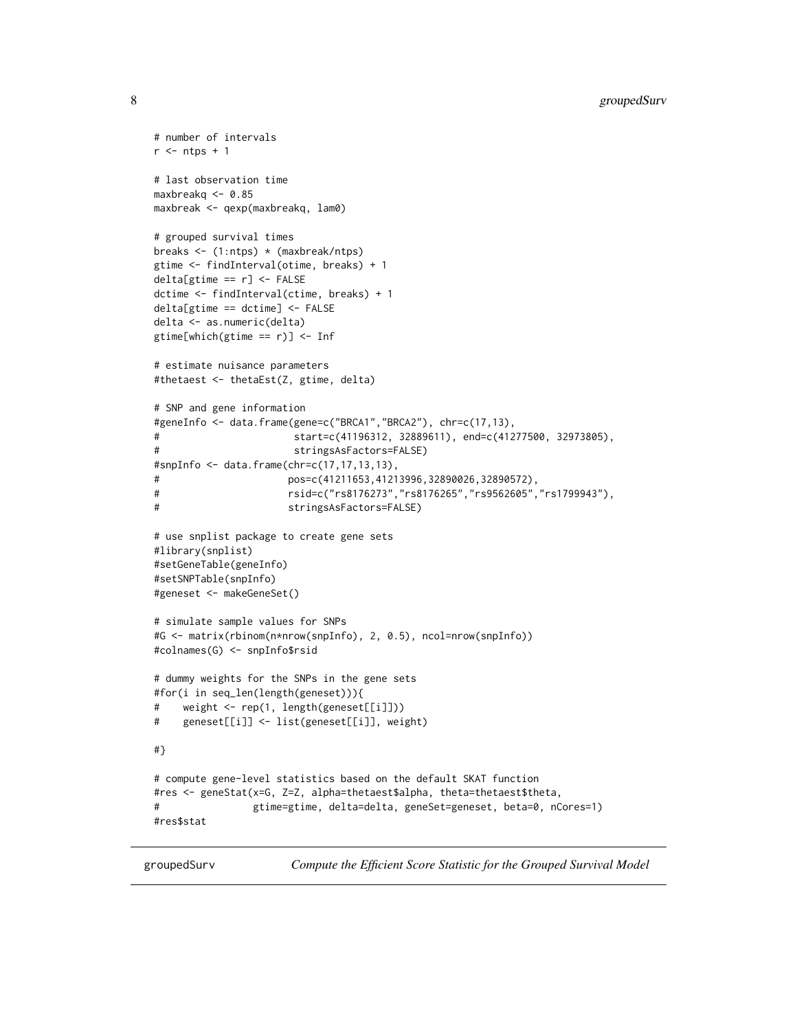```
# number of intervals
r <- ntps + 1
# last observation time
maxbreakq <- 0.85
maxbreak <- qexp(maxbreakq, lam0)
# grouped survival times
breaks <- (1:ntps) * (maxbreak/ntps)
gtime <- findInterval(otime, breaks) + 1
delta[gtime == r] <- FALSE
dctime <- findInterval(ctime, breaks) + 1
delta[gtime == dctime] <- FALSE
delta <- as.numeric(delta)
gtime[which(gtime == r)] <- Inf
# estimate nuisance parameters
#thetaest <- thetaEst(Z, gtime, delta)
# SNP and gene information
#geneInfo <- data.frame(gene=c("BRCA1","BRCA2"), chr=c(17,13),
# start=c(41196312, 32889611), end=c(41277500, 32973805),
# stringsAsFactors=FALSE)
#snpInfo <- data.frame(chr=c(17,17,13,13),
# pos=c(41211653,41213996,32890026,32890572),
# rsid=c("rs8176273","rs8176265","rs9562605","rs1799943"),
# stringsAsFactors=FALSE)
# use snplist package to create gene sets
#library(snplist)
#setGeneTable(geneInfo)
#setSNPTable(snpInfo)
#geneset <- makeGeneSet()
# simulate sample values for SNPs
#G <- matrix(rbinom(n*nrow(snpInfo), 2, 0.5), ncol=nrow(snpInfo))
#colnames(G) <- snpInfo$rsid
# dummy weights for the SNPs in the gene sets
#for(i in seq_len(length(geneset))){
# weight <- rep(1, length(geneset[[i]]))
# geneset[[i]] <- list(geneset[[i]], weight)
#}
# compute gene-level statistics based on the default SKAT function
#res <- geneStat(x=G, Z=Z, alpha=thetaest$alpha, theta=thetaest$theta,
# gtime=gtime, delta=delta, geneSet=geneset, beta=0, nCores=1)
#res$stat
```
groupedSurv *Compute the Efficient Score Statistic for the Grouped Survival Model*

<span id="page-7-0"></span>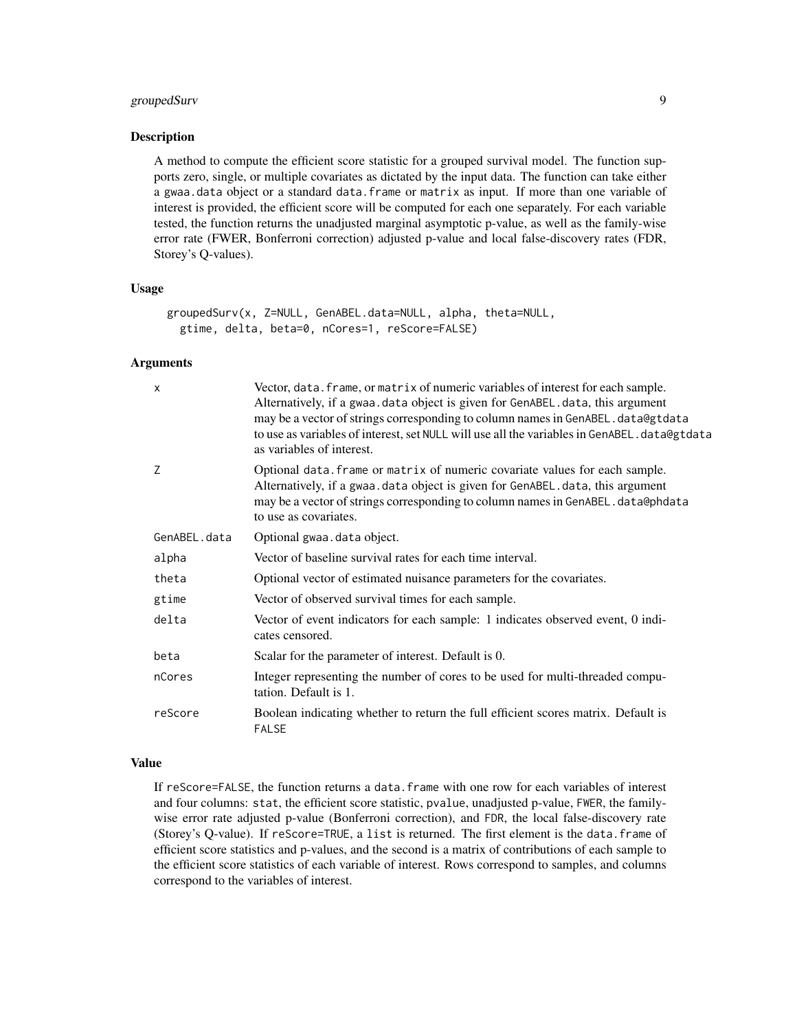#### groupedSurv 9

#### Description

A method to compute the efficient score statistic for a grouped survival model. The function supports zero, single, or multiple covariates as dictated by the input data. The function can take either a gwaa.data object or a standard data.frame or matrix as input. If more than one variable of interest is provided, the efficient score will be computed for each one separately. For each variable tested, the function returns the unadjusted marginal asymptotic p-value, as well as the family-wise error rate (FWER, Bonferroni correction) adjusted p-value and local false-discovery rates (FDR, Storey's Q-values).

#### Usage

```
groupedSurv(x, Z=NULL, GenABEL.data=NULL, alpha, theta=NULL,
 gtime, delta, beta=0, nCores=1, reScore=FALSE)
```
#### Arguments

| X            | Vector, data. frame, or matrix of numeric variables of interest for each sample.<br>Alternatively, if a gwaa.data object is given for GenABEL.data, this argument<br>may be a vector of strings corresponding to column names in GenABEL. data@gtdata<br>to use as variables of interest, set NULL will use all the variables in GenABEL. data@gtdata<br>as variables of interest. |
|--------------|------------------------------------------------------------------------------------------------------------------------------------------------------------------------------------------------------------------------------------------------------------------------------------------------------------------------------------------------------------------------------------|
| 7            | Optional data. frame or matrix of numeric covariate values for each sample.<br>Alternatively, if a gwaa.data object is given for GenABEL.data, this argument<br>may be a vector of strings corresponding to column names in GenABEL.data@phdata<br>to use as covariates.                                                                                                           |
| GenABEL.data | Optional gwaa. data object.                                                                                                                                                                                                                                                                                                                                                        |
| alpha        | Vector of baseline survival rates for each time interval.                                                                                                                                                                                                                                                                                                                          |
| theta        | Optional vector of estimated nuisance parameters for the covariates.                                                                                                                                                                                                                                                                                                               |
| gtime        | Vector of observed survival times for each sample.                                                                                                                                                                                                                                                                                                                                 |
| delta        | Vector of event indicators for each sample: 1 indicates observed event, 0 indi-<br>cates censored.                                                                                                                                                                                                                                                                                 |
| beta         | Scalar for the parameter of interest. Default is 0.                                                                                                                                                                                                                                                                                                                                |
| nCores       | Integer representing the number of cores to be used for multi-threaded compu-<br>tation. Default is 1.                                                                                                                                                                                                                                                                             |
| reScore      | Boolean indicating whether to return the full efficient scores matrix. Default is<br><b>FALSE</b>                                                                                                                                                                                                                                                                                  |
|              |                                                                                                                                                                                                                                                                                                                                                                                    |

#### Value

If reScore=FALSE, the function returns a data.frame with one row for each variables of interest and four columns: stat, the efficient score statistic, pvalue, unadjusted p-value, FWER, the familywise error rate adjusted p-value (Bonferroni correction), and FDR, the local false-discovery rate (Storey's Q-value). If reScore=TRUE, a list is returned. The first element is the data.frame of efficient score statistics and p-values, and the second is a matrix of contributions of each sample to the efficient score statistics of each variable of interest. Rows correspond to samples, and columns correspond to the variables of interest.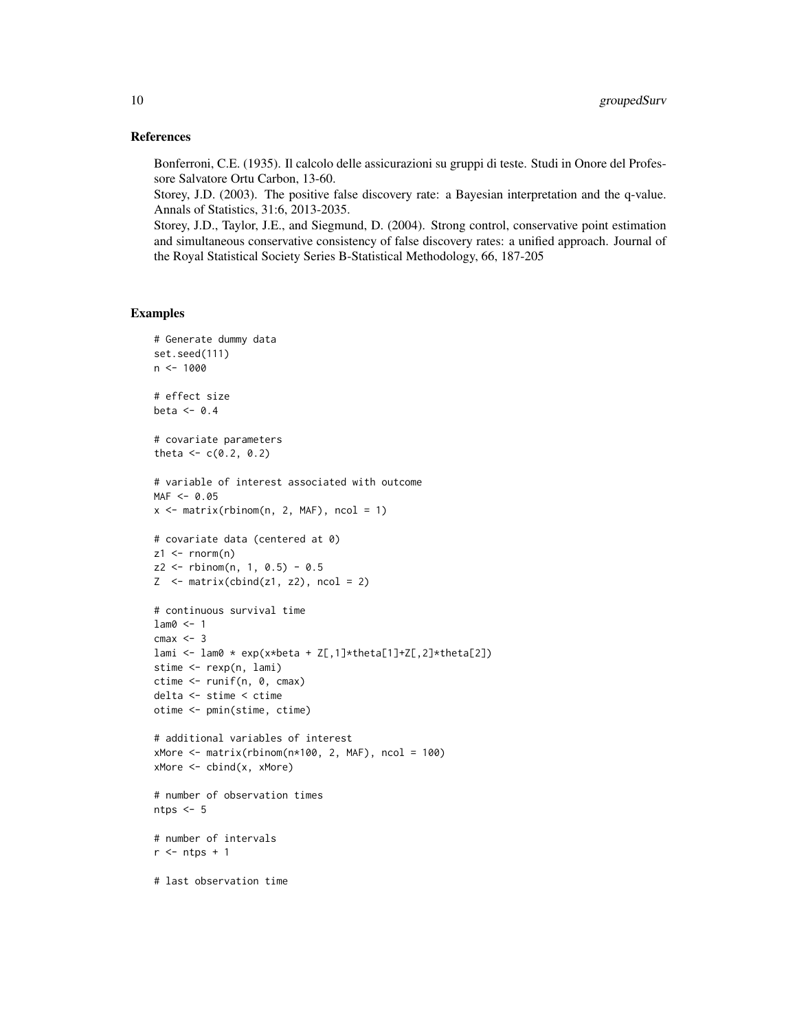#### References

Bonferroni, C.E. (1935). Il calcolo delle assicurazioni su gruppi di teste. Studi in Onore del Professore Salvatore Ortu Carbon, 13-60.

Storey, J.D. (2003). The positive false discovery rate: a Bayesian interpretation and the q-value. Annals of Statistics, 31:6, 2013-2035.

Storey, J.D., Taylor, J.E., and Siegmund, D. (2004). Strong control, conservative point estimation and simultaneous conservative consistency of false discovery rates: a unified approach. Journal of the Royal Statistical Society Series B-Statistical Methodology, 66, 187-205

```
# Generate dummy data
set.seed(111)
n < -1000# effect size
beta <-0.4# covariate parameters
theta <-c(0.2, 0.2)# variable of interest associated with outcome
MAF < -0.05x \le matrix(rbinom(n, 2, MAF), ncol = 1)
# covariate data (centered at 0)
z1 <- rnorm(n)z2 <- rbinom(n, 1, 0.5) - 0.5
Z \le - matrix(cbind(z1, z2), ncol = 2)
# continuous survival time
lam0 <- 1
cmax < -3lami <- lam0 * exp(x*beta + Z[,1]*theta[1]+Z[,2]*theta[2])
stime <- rexp(n, lami)
ctime <- runif(n, 0, cmax)
delta <- stime < ctime
otime <- pmin(stime, ctime)
# additional variables of interest
xMore < - matrix(rbinom{n*100}{}, 2, MAF), ncol = 100xMore <- cbind(x, xMore)
# number of observation times
ntps <-5# number of intervals
r <- ntps + 1# last observation time
```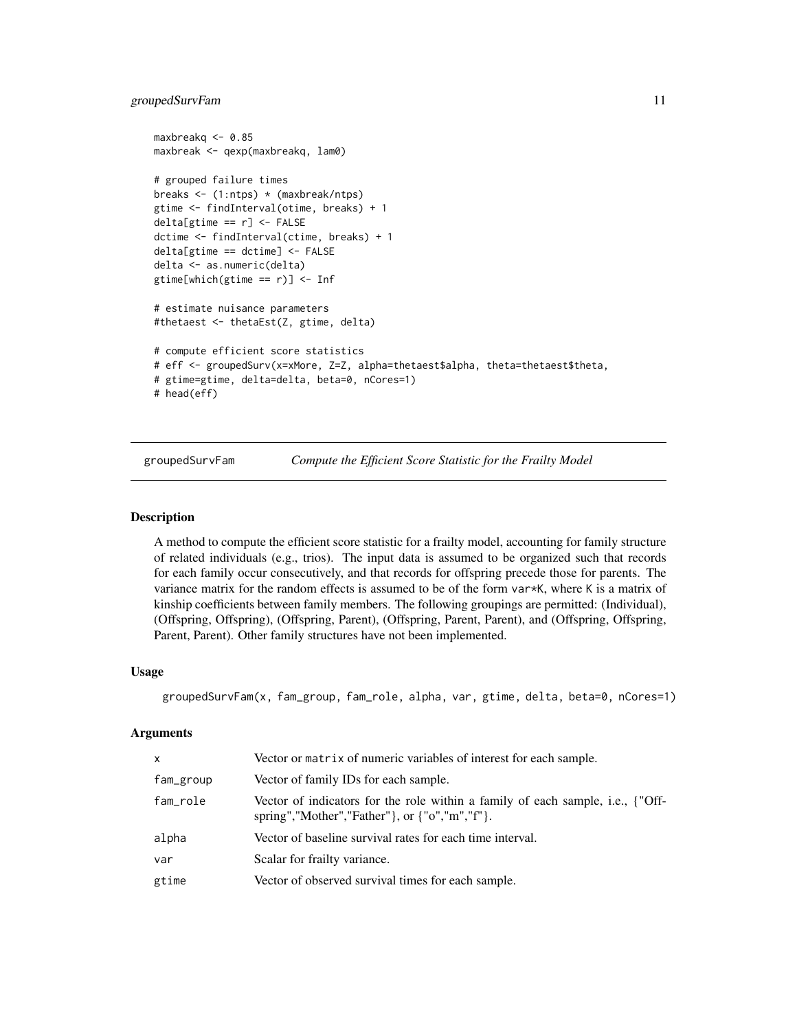#### <span id="page-10-0"></span>groupedSurvFam 11

```
maxbreakq <- 0.85
maxbreak <- qexp(maxbreakq, lam0)
# grouped failure times
breaks <- (1:ntps) * (maxbreak/ntps)
gtime <- findInterval(otime, breaks) + 1
delta[gtime == r] \leftarrow FALSEdctime <- findInterval(ctime, breaks) + 1
delta[gtime == dctime] <- FALSE
delta <- as.numeric(delta)
gtime[which(gtime == r)] <- Inf
# estimate nuisance parameters
#thetaest <- thetaEst(Z, gtime, delta)
# compute efficient score statistics
# eff <- groupedSurv(x=xMore, Z=Z, alpha=thetaest$alpha, theta=thetaest$theta,
# gtime=gtime, delta=delta, beta=0, nCores=1)
# head(eff)
```
groupedSurvFam *Compute the Efficient Score Statistic for the Frailty Model*

#### Description

A method to compute the efficient score statistic for a frailty model, accounting for family structure of related individuals (e.g., trios). The input data is assumed to be organized such that records for each family occur consecutively, and that records for offspring precede those for parents. The variance matrix for the random effects is assumed to be of the form var\*K, where K is a matrix of kinship coefficients between family members. The following groupings are permitted: (Individual), (Offspring, Offspring), (Offspring, Parent), (Offspring, Parent, Parent), and (Offspring, Offspring, Parent, Parent). Other family structures have not been implemented.

#### Usage

```
groupedSurvFam(x, fam_group, fam_role, alpha, var, gtime, delta, beta=0, nCores=1)
```
#### Arguments

| x         | Vector or matrix of numeric variables of interest for each sample.                                                              |
|-----------|---------------------------------------------------------------------------------------------------------------------------------|
| fam_group | Vector of family IDs for each sample.                                                                                           |
| fam_role  | Vector of indicators for the role within a family of each sample, i.e., {"Off-<br>spring","Mother","Father"}, or {"o","m","f"}. |
| alpha     | Vector of baseline survival rates for each time interval.                                                                       |
| var       | Scalar for frailty variance.                                                                                                    |
| gtime     | Vector of observed survival times for each sample.                                                                              |
|           |                                                                                                                                 |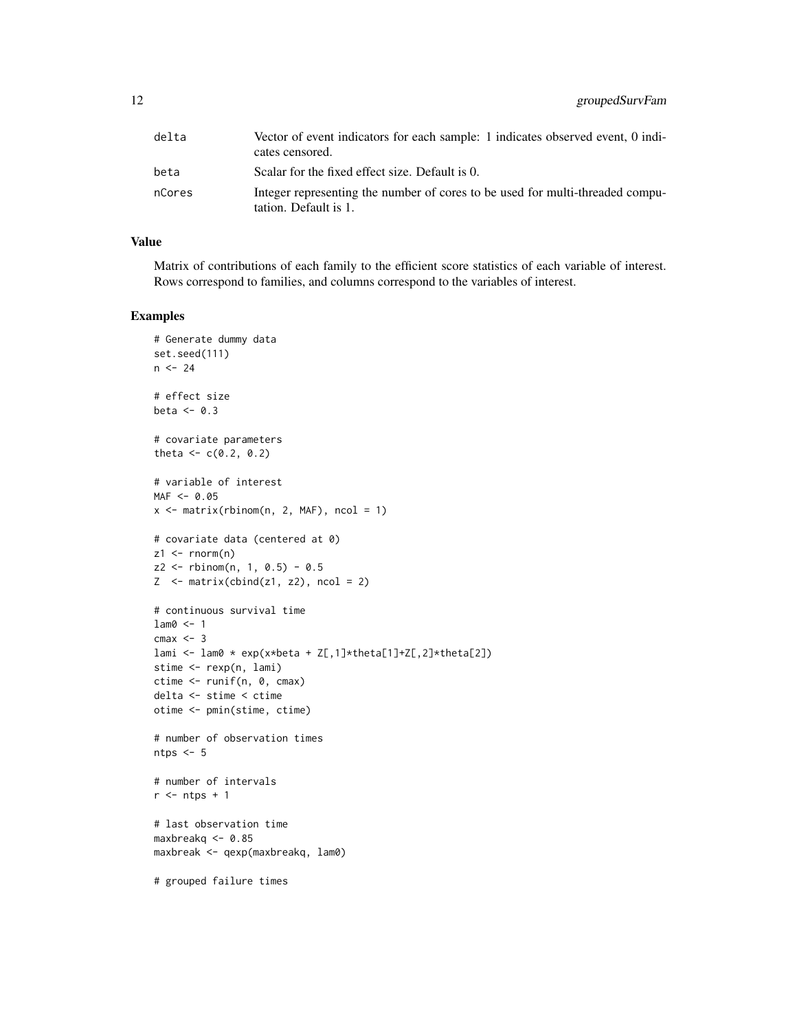| delta  | Vector of event indicators for each sample: 1 indicates observed event, 0 indi-<br>cates censored.     |
|--------|--------------------------------------------------------------------------------------------------------|
| beta   | Scalar for the fixed effect size. Default is 0.                                                        |
| nCores | Integer representing the number of cores to be used for multi-threaded compu-<br>tation. Default is 1. |

#### Value

Matrix of contributions of each family to the efficient score statistics of each variable of interest. Rows correspond to families, and columns correspond to the variables of interest.

```
# Generate dummy data
set.seed(111)
n < -24# effect size
beta <-0.3# covariate parameters
theta <-c(0.2, 0.2)# variable of interest
MAF < -0.05x \le matrix(rbinom(n, 2, MAF), ncol = 1)
# covariate data (centered at 0)
z1 \leq rnorm(n)z2 <- rbinom(n, 1, 0.5) - 0.5
Z \le - matrix(cbind(z1, z2), ncol = 2)
# continuous survival time
lam0 <- 1
cmax < -3lami <- lam0 * exp(x*beta + Z[,1]*theta[1]+Z[,2]*theta[2])
stime <- rexp(n, lami)
ctime <- runif(n, 0, cmax)
delta <- stime < ctime
otime <- pmin(stime, ctime)
# number of observation times
ntps <-5# number of intervals
r <- ntps + 1# last observation time
maxbreakq <- 0.85
maxbreak <- qexp(maxbreakq, lam0)
# grouped failure times
```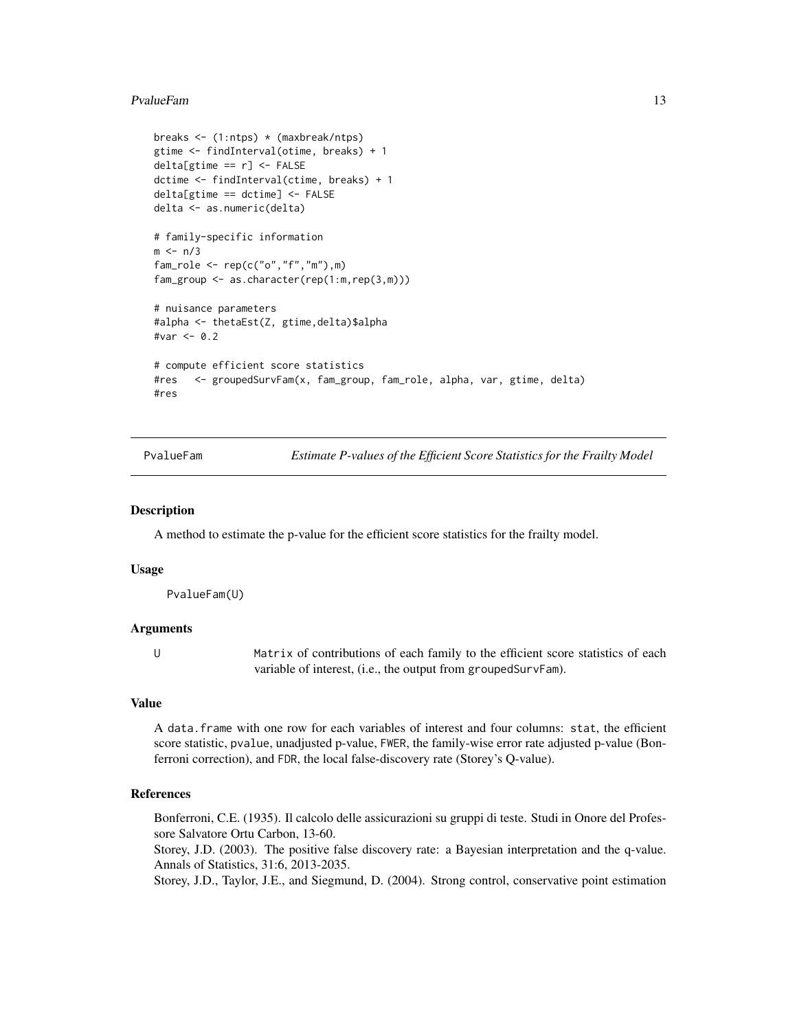#### <span id="page-12-0"></span>PvalueFam 13

```
breaks <- (1:ntps) * (maxbreak/ntps)
gtime <- findInterval(otime, breaks) + 1
delta[gtime == r] <- FALSE
dctime <- findInterval(ctime, breaks) + 1
delta[gtime == dctime] <- FALSE
delta <- as.numeric(delta)
# family-specific information
m < - n/3fam\_role \leftarrow rep(c("o", "f", "m"), m)fam_group <- as.character(rep(1:m,rep(3,m)))
# nuisance parameters
#alpha <- thetaEst(Z, gtime,delta)$alpha
#var <- 0.2
# compute efficient score statistics
#res <- groupedSurvFam(x, fam_group, fam_role, alpha, var, gtime, delta)
#res
```
PvalueFam *Estimate P-values of the Efficient Score Statistics for the Frailty Model*

#### **Description**

A method to estimate the p-value for the efficient score statistics for the frailty model.

#### Usage

PvalueFam(U)

#### Arguments

U Matrix of contributions of each family to the efficient score statistics of each variable of interest, (i.e., the output from groupedSurvFam).

#### Value

A data.frame with one row for each variables of interest and four columns: stat, the efficient score statistic, pvalue, unadjusted p-value, FWER, the family-wise error rate adjusted p-value (Bonferroni correction), and FDR, the local false-discovery rate (Storey's Q-value).

#### References

Bonferroni, C.E. (1935). Il calcolo delle assicurazioni su gruppi di teste. Studi in Onore del Professore Salvatore Ortu Carbon, 13-60.

Storey, J.D. (2003). The positive false discovery rate: a Bayesian interpretation and the q-value. Annals of Statistics, 31:6, 2013-2035.

Storey, J.D., Taylor, J.E., and Siegmund, D. (2004). Strong control, conservative point estimation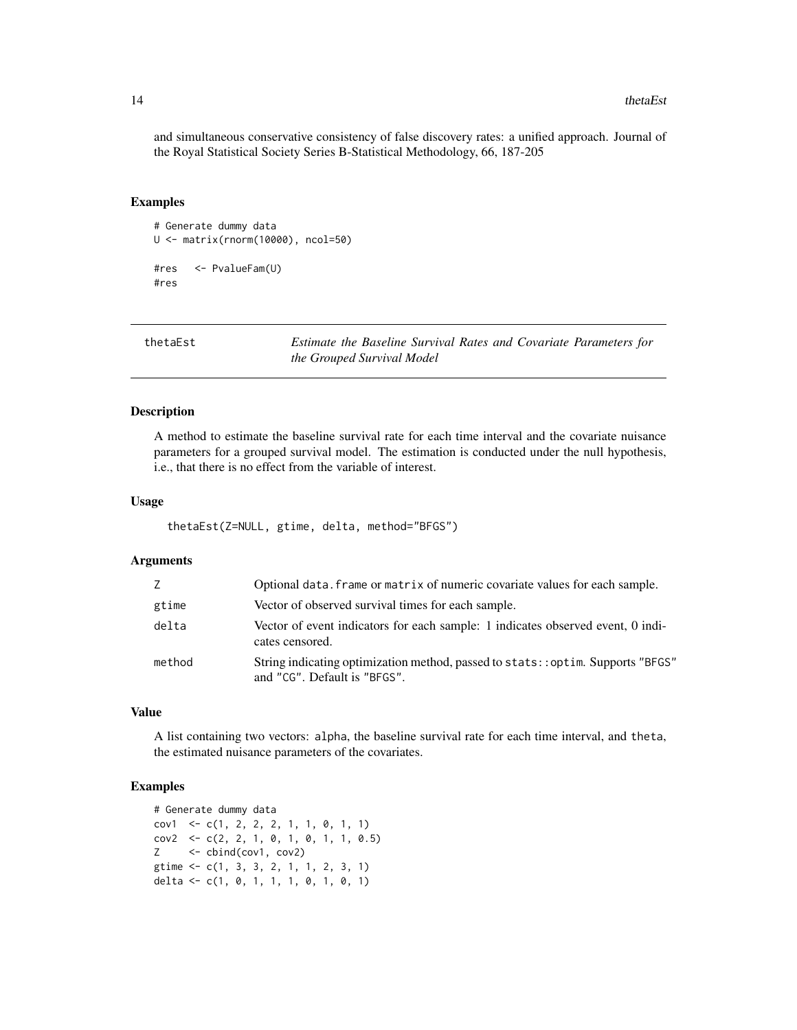and simultaneous conservative consistency of false discovery rates: a unified approach. Journal of the Royal Statistical Society Series B-Statistical Methodology, 66, 187-205

#### Examples

```
# Generate dummy data
U <- matrix(rnorm(10000), ncol=50)
#res <- PvalueFam(U)
#res
```
thetaEst *Estimate the Baseline Survival Rates and Covariate Parameters for the Grouped Survival Model*

#### Description

A method to estimate the baseline survival rate for each time interval and the covariate nuisance parameters for a grouped survival model. The estimation is conducted under the null hypothesis, i.e., that there is no effect from the variable of interest.

#### Usage

thetaEst(Z=NULL, gtime, delta, method="BFGS")

#### Arguments

| Z      | Optional data. frame or matrix of numeric covariate values for each sample.                                      |
|--------|------------------------------------------------------------------------------------------------------------------|
| gtime  | Vector of observed survival times for each sample.                                                               |
| delta  | Vector of event indicators for each sample: 1 indicates observed event, 0 indi-<br>cates censored.               |
| method | String indicating optimization method, passed to stats: : optim. Supports "BFGS"<br>and "CG". Default is "BFGS". |

#### Value

A list containing two vectors: alpha, the baseline survival rate for each time interval, and theta, the estimated nuisance parameters of the covariates.

```
# Generate dummy data
cov1 <- c(1, 2, 2, 2, 1, 1, 0, 1, 1)
cov2 \leq c(2, 2, 1, 0, 1, 0, 1, 1, 0.5)Z <- cbind(cov1, cov2)
gtime <- c(1, 3, 3, 2, 1, 1, 2, 3, 1)
delta <- c(1, 0, 1, 1, 1, 0, 1, 0, 1)
```
<span id="page-13-0"></span>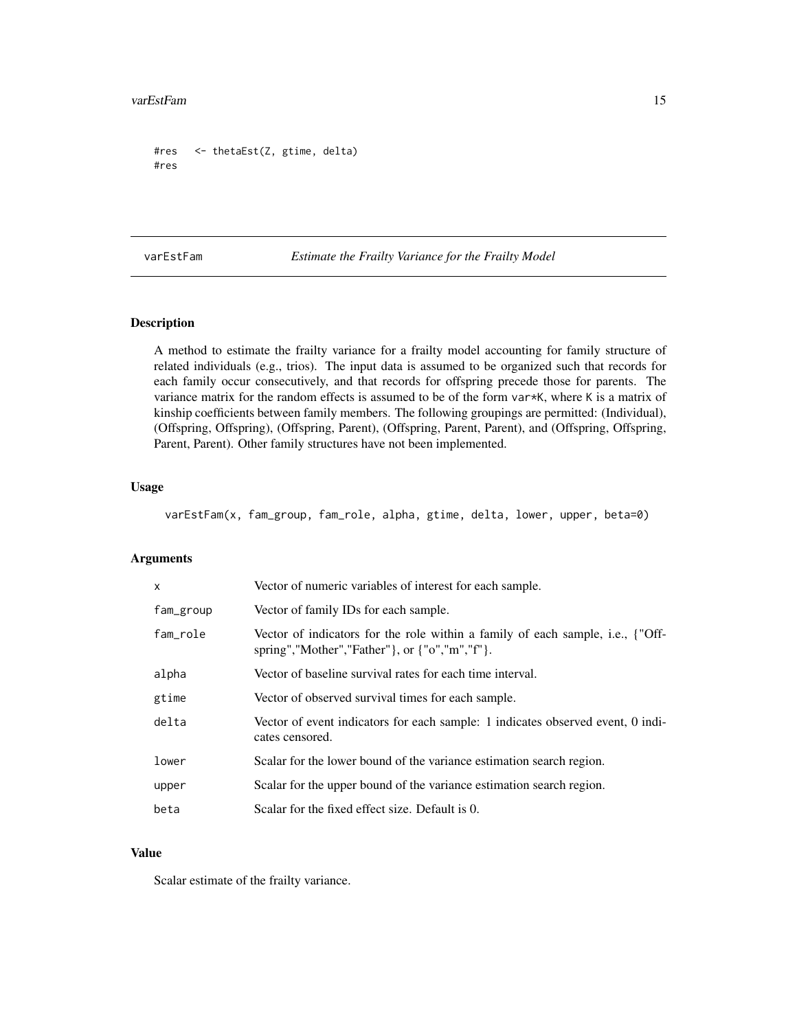```
#res <- thetaEst(Z, gtime, delta)
#res
```
varEstFam *Estimate the Frailty Variance for the Frailty Model*

### Description

A method to estimate the frailty variance for a frailty model accounting for family structure of related individuals (e.g., trios). The input data is assumed to be organized such that records for each family occur consecutively, and that records for offspring precede those for parents. The variance matrix for the random effects is assumed to be of the form var\*K, where K is a matrix of kinship coefficients between family members. The following groupings are permitted: (Individual), (Offspring, Offspring), (Offspring, Parent), (Offspring, Parent, Parent), and (Offspring, Offspring, Parent, Parent). Other family structures have not been implemented.

#### Usage

varEstFam(x, fam\_group, fam\_role, alpha, gtime, delta, lower, upper, beta=0)

#### Arguments

| x         | Vector of numeric variables of interest for each sample.                                                                                                        |
|-----------|-----------------------------------------------------------------------------------------------------------------------------------------------------------------|
| fam_group | Vector of family IDs for each sample.                                                                                                                           |
| fam_role  | Vector of indicators for the role within a family of each sample, i.e., {"Off-<br>spring","Mother","Father" }, or $\{\text{``o''},\text{''m''},\text{''f''}\}.$ |
| alpha     | Vector of baseline survival rates for each time interval.                                                                                                       |
| gtime     | Vector of observed survival times for each sample.                                                                                                              |
| delta     | Vector of event indicators for each sample: 1 indicates observed event, 0 indi-<br>cates censored.                                                              |
| lower     | Scalar for the lower bound of the variance estimation search region.                                                                                            |
| upper     | Scalar for the upper bound of the variance estimation search region.                                                                                            |
| beta      | Scalar for the fixed effect size. Default is 0.                                                                                                                 |

#### Value

Scalar estimate of the frailty variance.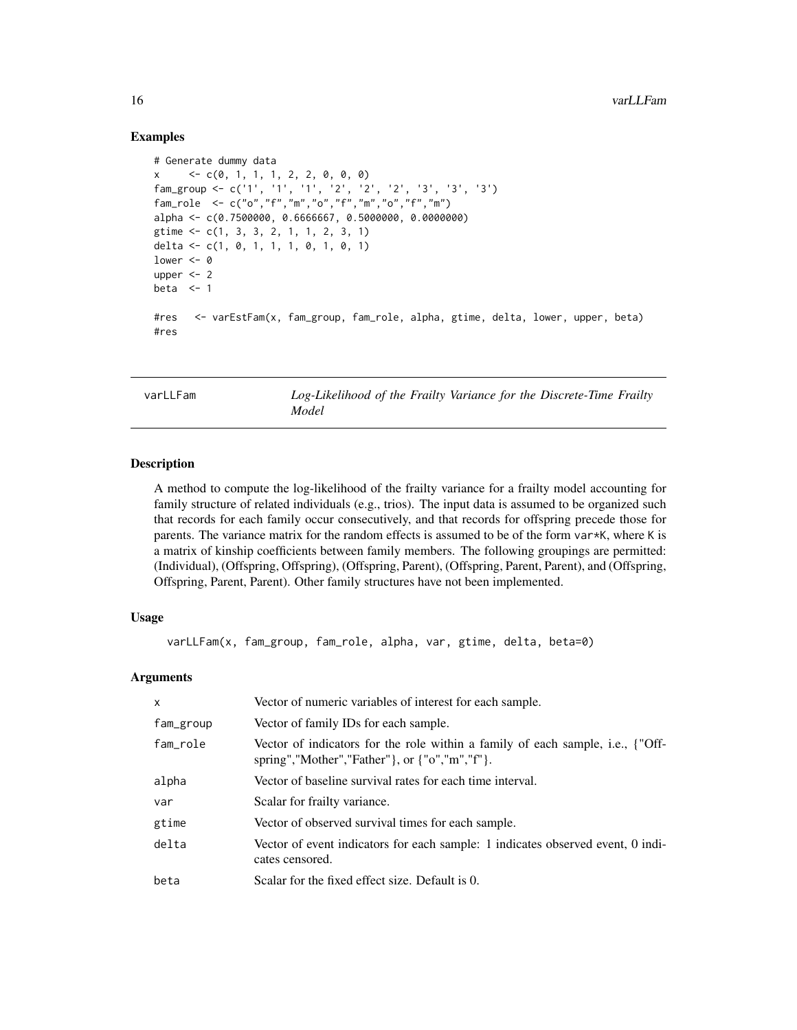#### Examples

```
# Generate dummy data
x \leftarrow c(0, 1, 1, 1, 2, 2, 0, 0, 0)fam_group <- c('1', '1', '1', '2', '2', '2', '3', '3', '3')
fam_role <- c("o","f","m","o","f","m","o","f","m")
alpha <- c(0.7500000, 0.6666667, 0.5000000, 0.0000000)
gtime <- c(1, 3, 3, 2, 1, 1, 2, 3, 1)
delta <- c(1, 0, 1, 1, 1, 0, 1, 0, 1)
lower <-0upper <-2beta \leq -1#res <- varEstFam(x, fam_group, fam_role, alpha, gtime, delta, lower, upper, beta)
#res
```
varLLFam *Log-Likelihood of the Frailty Variance for the Discrete-Time Frailty Model*

#### **Description**

A method to compute the log-likelihood of the frailty variance for a frailty model accounting for family structure of related individuals (e.g., trios). The input data is assumed to be organized such that records for each family occur consecutively, and that records for offspring precede those for parents. The variance matrix for the random effects is assumed to be of the form var\*K, where K is a matrix of kinship coefficients between family members. The following groupings are permitted: (Individual), (Offspring, Offspring), (Offspring, Parent), (Offspring, Parent, Parent), and (Offspring, Offspring, Parent, Parent). Other family structures have not been implemented.

#### Usage

varLLFam(x, fam\_group, fam\_role, alpha, var, gtime, delta, beta=0)

#### Arguments

| x         | Vector of numeric variables of interest for each sample.                                                                        |
|-----------|---------------------------------------------------------------------------------------------------------------------------------|
| fam_group | Vector of family IDs for each sample.                                                                                           |
| fam_role  | Vector of indicators for the role within a family of each sample, i.e., {"Off-<br>spring","Mother","Father"}, or {"o","m","f"}. |
| alpha     | Vector of baseline survival rates for each time interval.                                                                       |
| var       | Scalar for frailty variance.                                                                                                    |
| gtime     | Vector of observed survival times for each sample.                                                                              |
| delta     | Vector of event indicators for each sample: 1 indicates observed event, 0 indi-<br>cates censored.                              |
| beta      | Scalar for the fixed effect size. Default is 0.                                                                                 |

<span id="page-15-0"></span>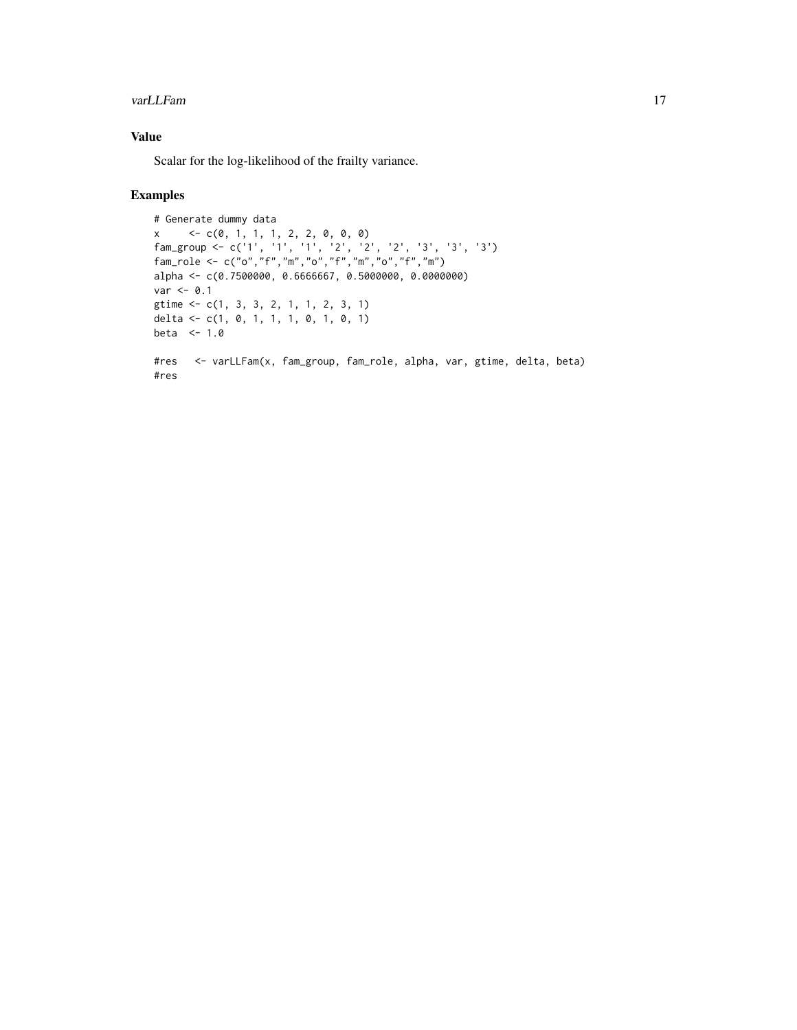#### varLLFam 17

### Value

Scalar for the log-likelihood of the frailty variance.

```
# Generate dummy data
x \leftarrow c(0, 1, 1, 1, 2, 2, 0, 0, 0)fam_group <- c('1', '1', '1', '2', '2', '2', '3', '3', '3')
fam_role <- c("o","f","m","o","f","m","o","f","m")
alpha <- c(0.7500000, 0.6666667, 0.5000000, 0.0000000)
var < -0.1gtime <- c(1, 3, 3, 2, 1, 1, 2, 3, 1)
delta <- c(1, 0, 1, 1, 1, 0, 1, 0, 1)
beta <-1.0#res <- varLLFam(x, fam_group, fam_role, alpha, var, gtime, delta, beta)
#res
```